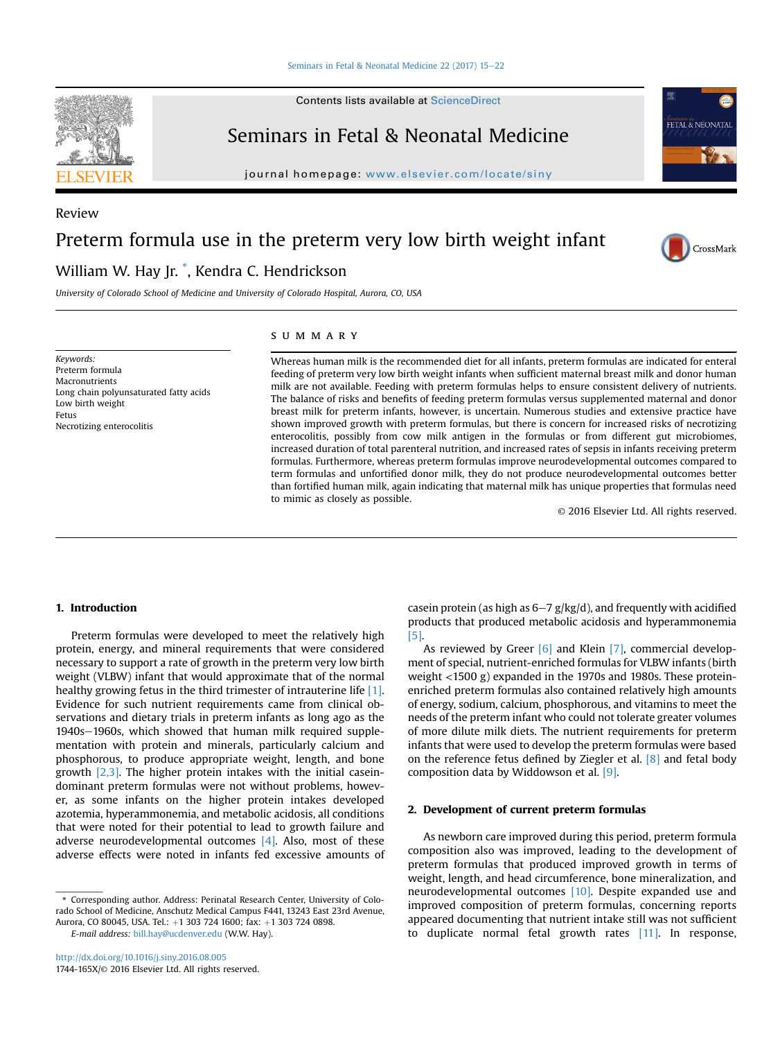#### [Seminars in Fetal & Neonatal Medicine 22 \(2017\) 15](http://dx.doi.org/10.1016/j.siny.2016.08.005)-[22](http://dx.doi.org/10.1016/j.siny.2016.08.005)



Review

Contents lists available at [ScienceDirect](www.sciencedirect.com/science/journal/1744165X)

# Seminars in Fetal & Neonatal Medicine

journal homepage: [www.elsevier.com/locate/siny](http://www.elsevier.com/locate/siny)



CrossMark

# Preterm formula use in the preterm very low birth weight infant

# William W. Hay Jr. \* , Kendra C. Hendrickson

University of Colorado School of Medicine and University of Colorado Hospital, Aurora, CO, USA

Keywords: Preterm formula Macronutrients Long chain polyunsaturated fatty acids Low birth weight Fetus Necrotizing enterocolitis

# summary

Whereas human milk is the recommended diet for all infants, preterm formulas are indicated for enteral feeding of preterm very low birth weight infants when sufficient maternal breast milk and donor human milk are not available. Feeding with preterm formulas helps to ensure consistent delivery of nutrients. The balance of risks and benefits of feeding preterm formulas versus supplemented maternal and donor breast milk for preterm infants, however, is uncertain. Numerous studies and extensive practice have shown improved growth with preterm formulas, but there is concern for increased risks of necrotizing enterocolitis, possibly from cow milk antigen in the formulas or from different gut microbiomes, increased duration of total parenteral nutrition, and increased rates of sepsis in infants receiving preterm formulas. Furthermore, whereas preterm formulas improve neurodevelopmental outcomes compared to term formulas and unfortified donor milk, they do not produce neurodevelopmental outcomes better than fortified human milk, again indicating that maternal milk has unique properties that formulas need to mimic as closely as possible.

© 2016 Elsevier Ltd. All rights reserved.

# 1. Introduction

Preterm formulas were developed to meet the relatively high protein, energy, and mineral requirements that were considered necessary to support a rate of growth in the preterm very low birth weight (VLBW) infant that would approximate that of the normal healthy growing fetus in the third trimester of intrauterine life [\[1\].](#page-6-0) Evidence for such nutrient requirements came from clinical observations and dietary trials in preterm infants as long ago as the 1940s-1960s, which showed that human milk required supplementation with protein and minerals, particularly calcium and phosphorous, to produce appropriate weight, length, and bone growth [\[2,3\].](#page-6-0) The higher protein intakes with the initial caseindominant preterm formulas were not without problems, however, as some infants on the higher protein intakes developed azotemia, hyperammonemia, and metabolic acidosis, all conditions that were noted for their potential to lead to growth failure and adverse neurodevelopmental outcomes  $[4]$ . Also, most of these adverse effects were noted in infants fed excessive amounts of casein protein (as high as  $6-7$  g/kg/d), and frequently with acidified products that produced metabolic acidosis and hyperammonemia [\[5\]](#page-6-0).

As reviewed by Greer [\[6\]](#page-6-0) and Klein [\[7\]](#page-6-0), commercial development of special, nutrient-enriched formulas for VLBW infants (birth weight <1500 g) expanded in the 1970s and 1980s. These proteinenriched preterm formulas also contained relatively high amounts of energy, sodium, calcium, phosphorous, and vitamins to meet the needs of the preterm infant who could not tolerate greater volumes of more dilute milk diets. The nutrient requirements for preterm infants that were used to develop the preterm formulas were based on the reference fetus defined by Ziegler et al. [\[8\]](#page-6-0) and fetal body composition data by Widdowson et al. [\[9\].](#page-6-0)

# 2. Development of current preterm formulas

As newborn care improved during this period, preterm formula composition also was improved, leading to the development of preterm formulas that produced improved growth in terms of weight, length, and head circumference, bone mineralization, and neurodevelopmental outcomes [\[10\]](#page-6-0). Despite expanded use and improved composition of preterm formulas, concerning reports appeared documenting that nutrient intake still was not sufficient to duplicate normal fetal growth rates [\[11\].](#page-6-0) In response,

<sup>\*</sup> Corresponding author. Address: Perinatal Research Center, University of Colorado School of Medicine, Anschutz Medical Campus F441, 13243 East 23rd Avenue, Aurora, CO 80045, USA. Tel.: +1 303 724 1600; fax: +1 303 724 0898.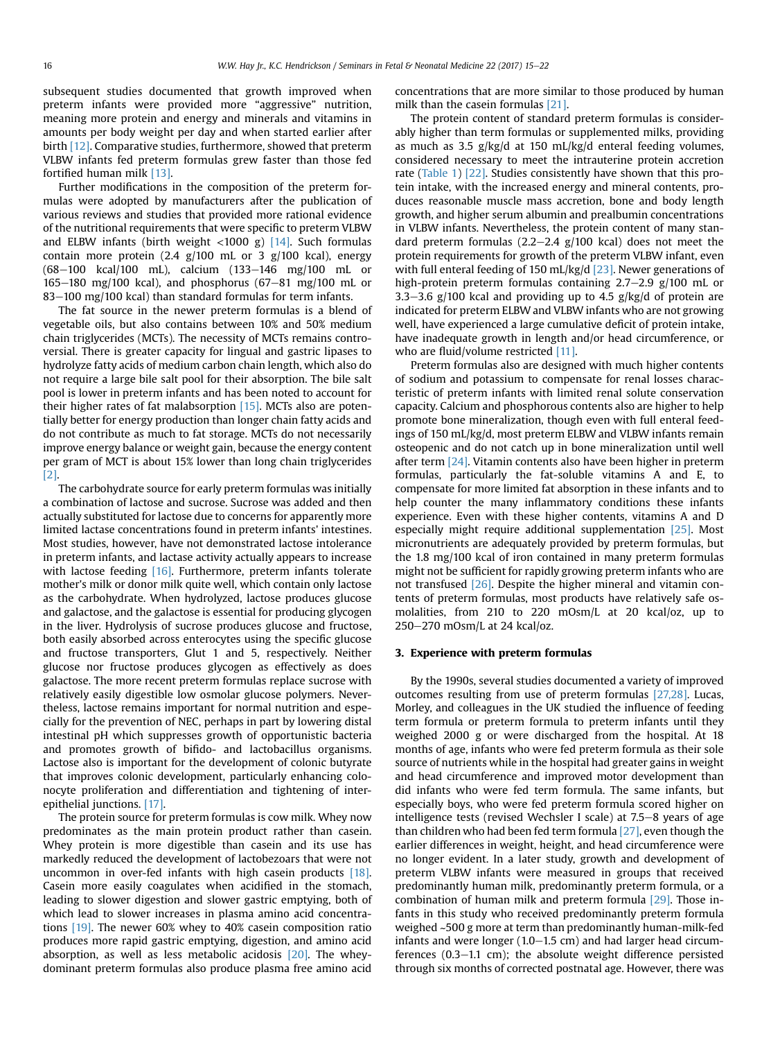subsequent studies documented that growth improved when preterm infants were provided more "aggressive" nutrition, meaning more protein and energy and minerals and vitamins in amounts per body weight per day and when started earlier after birth [\[12\].](#page-6-0) Comparative studies, furthermore, showed that preterm VLBW infants fed preterm formulas grew faster than those fed fortified human milk [\[13\]](#page-6-0).

Further modifications in the composition of the preterm formulas were adopted by manufacturers after the publication of various reviews and studies that provided more rational evidence of the nutritional requirements that were specific to preterm VLBW and ELBW infants (birth weight  $\langle$ 1000 g) [\[14\]](#page-6-0). Such formulas contain more protein  $(2.4 \text{ g}/100 \text{ mL or } 3 \text{ g}/100 \text{ kcal})$ , energy (68-100 kcal/100 mL), calcium (133-146 mg/100 mL or 165 $-180$  mg/100 kcal), and phosphorus (67 $-81$  mg/100 mL or  $83-100$  mg/100 kcal) than standard formulas for term infants.

The fat source in the newer preterm formulas is a blend of vegetable oils, but also contains between 10% and 50% medium chain triglycerides (MCTs). The necessity of MCTs remains controversial. There is greater capacity for lingual and gastric lipases to hydrolyze fatty acids of medium carbon chain length, which also do not require a large bile salt pool for their absorption. The bile salt pool is lower in preterm infants and has been noted to account for their higher rates of fat malabsorption [\[15\]](#page-6-0). MCTs also are potentially better for energy production than longer chain fatty acids and do not contribute as much to fat storage. MCTs do not necessarily improve energy balance or weight gain, because the energy content per gram of MCT is about 15% lower than long chain triglycerides [\[2\]](#page-6-0).

The carbohydrate source for early preterm formulas was initially a combination of lactose and sucrose. Sucrose was added and then actually substituted for lactose due to concerns for apparently more limited lactase concentrations found in preterm infants' intestines. Most studies, however, have not demonstrated lactose intolerance in preterm infants, and lactase activity actually appears to increase with lactose feeding [\[16\].](#page-6-0) Furthermore, preterm infants tolerate mother's milk or donor milk quite well, which contain only lactose as the carbohydrate. When hydrolyzed, lactose produces glucose and galactose, and the galactose is essential for producing glycogen in the liver. Hydrolysis of sucrose produces glucose and fructose, both easily absorbed across enterocytes using the specific glucose and fructose transporters, Glut 1 and 5, respectively. Neither glucose nor fructose produces glycogen as effectively as does galactose. The more recent preterm formulas replace sucrose with relatively easily digestible low osmolar glucose polymers. Nevertheless, lactose remains important for normal nutrition and especially for the prevention of NEC, perhaps in part by lowering distal intestinal pH which suppresses growth of opportunistic bacteria and promotes growth of bifido- and lactobacillus organisms. Lactose also is important for the development of colonic butyrate that improves colonic development, particularly enhancing colonocyte proliferation and differentiation and tightening of interepithelial junctions. [\[17\].](#page-6-0)

The protein source for preterm formulas is cow milk. Whey now predominates as the main protein product rather than casein. Whey protein is more digestible than casein and its use has markedly reduced the development of lactobezoars that were not uncommon in over-fed infants with high casein products [\[18\].](#page-6-0) Casein more easily coagulates when acidified in the stomach, leading to slower digestion and slower gastric emptying, both of which lead to slower increases in plasma amino acid concentrations [\[19\].](#page-6-0) The newer 60% whey to 40% casein composition ratio produces more rapid gastric emptying, digestion, and amino acid absorption, as well as less metabolic acidosis [\[20\]](#page-6-0). The wheydominant preterm formulas also produce plasma free amino acid concentrations that are more similar to those produced by human milk than the casein formulas [\[21\].](#page-6-0)

The protein content of standard preterm formulas is considerably higher than term formulas or supplemented milks, providing as much as 3.5 g/kg/d at 150 mL/kg/d enteral feeding volumes, considered necessary to meet the intrauterine protein accretion rate [\(Table 1\)](#page-2-0) [\[22\].](#page-6-0) Studies consistently have shown that this protein intake, with the increased energy and mineral contents, produces reasonable muscle mass accretion, bone and body length growth, and higher serum albumin and prealbumin concentrations in VLBW infants. Nevertheless, the protein content of many standard preterm formulas  $(2.2-2.4 \text{ g}/100 \text{ kcal})$  does not meet the protein requirements for growth of the preterm VLBW infant, even with full enteral feeding of 150 mL/kg/d [\[23\]](#page-6-0). Newer generations of high-protein preterm formulas containing  $2.7-2.9$  g/100 mL or 3.3–3.6 g/100 kcal and providing up to 4.5 g/kg/d of protein are indicated for preterm ELBW and VLBW infants who are not growing well, have experienced a large cumulative deficit of protein intake, have inadequate growth in length and/or head circumference, or who are fluid/volume restricted [\[11\]](#page-6-0).

Preterm formulas also are designed with much higher contents of sodium and potassium to compensate for renal losses characteristic of preterm infants with limited renal solute conservation capacity. Calcium and phosphorous contents also are higher to help promote bone mineralization, though even with full enteral feedings of 150 mL/kg/d, most preterm ELBW and VLBW infants remain osteopenic and do not catch up in bone mineralization until well after term [\[24\]](#page-6-0). Vitamin contents also have been higher in preterm formulas, particularly the fat-soluble vitamins A and E, to compensate for more limited fat absorption in these infants and to help counter the many inflammatory conditions these infants experience. Even with these higher contents, vitamins A and D especially might require additional supplementation [\[25\].](#page-6-0) Most micronutrients are adequately provided by preterm formulas, but the 1.8 mg/100 kcal of iron contained in many preterm formulas might not be sufficient for rapidly growing preterm infants who are not transfused [\[26\]](#page-6-0). Despite the higher mineral and vitamin contents of preterm formulas, most products have relatively safe osmolalities, from 210 to 220 mOsm/L at 20 kcal/oz, up to  $250 - 270$  mOsm/L at 24 kcal/oz.

# 3. Experience with preterm formulas

By the 1990s, several studies documented a variety of improved outcomes resulting from use of preterm formulas [\[27,28\].](#page-6-0) Lucas, Morley, and colleagues in the UK studied the influence of feeding term formula or preterm formula to preterm infants until they weighed 2000 g or were discharged from the hospital. At 18 months of age, infants who were fed preterm formula as their sole source of nutrients while in the hospital had greater gains in weight and head circumference and improved motor development than did infants who were fed term formula. The same infants, but especially boys, who were fed preterm formula scored higher on intelligence tests (revised Wechsler I scale) at  $7.5-8$  years of age than children who had been fed term formula [\[27\]](#page-6-0), even though the earlier differences in weight, height, and head circumference were no longer evident. In a later study, growth and development of preterm VLBW infants were measured in groups that received predominantly human milk, predominantly preterm formula, or a combination of human milk and preterm formula [\[29\].](#page-6-0) Those infants in this study who received predominantly preterm formula weighed ~500 g more at term than predominantly human-milk-fed infants and were longer  $(1.0-1.5 \text{ cm})$  and had larger head circumferences  $(0.3-1.1 \text{ cm})$ ; the absolute weight difference persisted through six months of corrected postnatal age. However, there was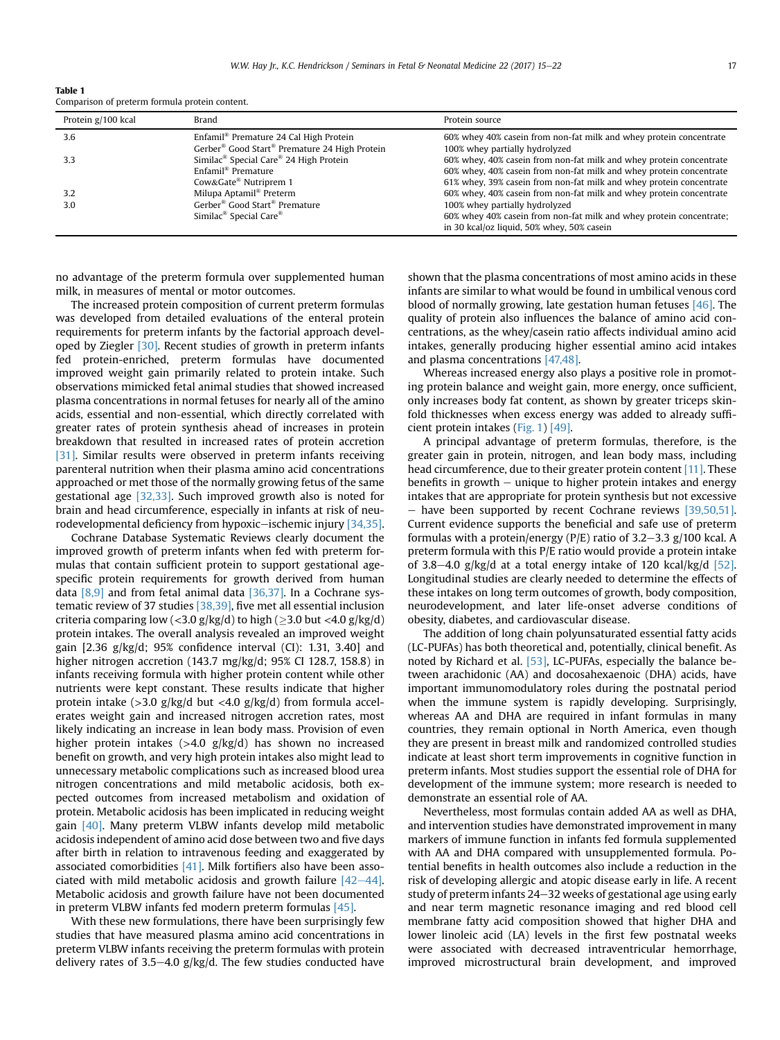<span id="page-2-0"></span>Table 1 Comparison of preterm formula protein content.

| Protein g/100 kcal | Brand                                                                 | Protein source                                                      |
|--------------------|-----------------------------------------------------------------------|---------------------------------------------------------------------|
| 3.6                | Enfamil <sup>®</sup> Premature 24 Cal High Protein                    | 60% whey 40% casein from non-fat milk and whey protein concentrate  |
|                    | Gerber <sup>®</sup> Good Start <sup>®</sup> Premature 24 High Protein | 100% whey partially hydrolyzed                                      |
| 3.3                | Similac <sup>®</sup> Special Care <sup>®</sup> 24 High Protein        | 60% whey, 40% casein from non-fat milk and whey protein concentrate |
|                    | Enfamil <sup>®</sup> Premature                                        | 60% whey, 40% casein from non-fat milk and whey protein concentrate |
|                    | Cow&Gate <sup>®</sup> Nutriprem 1                                     | 61% whey, 39% casein from non-fat milk and whey protein concentrate |
| 3.2                | Milupa Aptamil <sup>®</sup> Preterm                                   | 60% whey, 40% casein from non-fat milk and whey protein concentrate |
| 3.0                | Gerber <sup>®</sup> Good Start <sup>®</sup> Premature                 | 100% whey partially hydrolyzed                                      |
|                    | Similac <sup>®</sup> Special Care <sup>®</sup>                        | 60% whey 40% casein from non-fat milk and whey protein concentrate; |
|                    |                                                                       | in 30 kcal/oz liquid, 50% whey, 50% casein                          |

no advantage of the preterm formula over supplemented human milk, in measures of mental or motor outcomes.

The increased protein composition of current preterm formulas was developed from detailed evaluations of the enteral protein requirements for preterm infants by the factorial approach developed by Ziegler [\[30\]](#page-6-0). Recent studies of growth in preterm infants fed protein-enriched, preterm formulas have documented improved weight gain primarily related to protein intake. Such observations mimicked fetal animal studies that showed increased plasma concentrations in normal fetuses for nearly all of the amino acids, essential and non-essential, which directly correlated with greater rates of protein synthesis ahead of increases in protein breakdown that resulted in increased rates of protein accretion [\[31\].](#page-6-0) Similar results were observed in preterm infants receiving parenteral nutrition when their plasma amino acid concentrations approached or met those of the normally growing fetus of the same gestational age [\[32,33\].](#page-6-0) Such improved growth also is noted for brain and head circumference, especially in infants at risk of neu-rodevelopmental deficiency from hypoxic-ischemic injury [\[34,35\].](#page-6-0)

Cochrane Database Systematic Reviews clearly document the improved growth of preterm infants when fed with preterm formulas that contain sufficient protein to support gestational agespecific protein requirements for growth derived from human data [\[8,9\]](#page-6-0) and from fetal animal data [\[36,37\].](#page-6-0) In a Cochrane systematic review of 37 studies [\[38,39\],](#page-6-0) five met all essential inclusion criteria comparing low (<3.0 g/kg/d) to high ( $\geq$ 3.0 but <4.0 g/kg/d) protein intakes. The overall analysis revealed an improved weight gain [2.36 g/kg/d; 95% confidence interval (CI): 1.31, 3.40] and higher nitrogen accretion (143.7 mg/kg/d; 95% CI 128.7, 158.8) in infants receiving formula with higher protein content while other nutrients were kept constant. These results indicate that higher protein intake  $(>3.0 \text{ g/kg/d}$  but  $<4.0 \text{ g/kg/d}$  from formula accelerates weight gain and increased nitrogen accretion rates, most likely indicating an increase in lean body mass. Provision of even higher protein intakes (>4.0 g/kg/d) has shown no increased benefit on growth, and very high protein intakes also might lead to unnecessary metabolic complications such as increased blood urea nitrogen concentrations and mild metabolic acidosis, both expected outcomes from increased metabolism and oxidation of protein. Metabolic acidosis has been implicated in reducing weight gain [\[40\]](#page-6-0). Many preterm VLBW infants develop mild metabolic acidosis independent of amino acid dose between two and five days after birth in relation to intravenous feeding and exaggerated by associated comorbidities [\[41\]](#page-6-0). Milk fortifiers also have been associated with mild metabolic acidosis and growth failure  $[42-44]$  $[42-44]$ . Metabolic acidosis and growth failure have not been documented in preterm VLBW infants fed modern preterm formulas [\[45\]](#page-6-0).

With these new formulations, there have been surprisingly few studies that have measured plasma amino acid concentrations in preterm VLBW infants receiving the preterm formulas with protein delivery rates of 3.5–4.0  $g/kg/d$ . The few studies conducted have shown that the plasma concentrations of most amino acids in these infants are similar to what would be found in umbilical venous cord blood of normally growing, late gestation human fetuses [\[46\]](#page-6-0). The quality of protein also influences the balance of amino acid concentrations, as the whey/casein ratio affects individual amino acid intakes, generally producing higher essential amino acid intakes and plasma concentrations [\[47,48\].](#page-6-0)

Whereas increased energy also plays a positive role in promoting protein balance and weight gain, more energy, once sufficient, only increases body fat content, as shown by greater triceps skinfold thicknesses when excess energy was added to already sufficient protein intakes [\(Fig. 1\)](#page-3-0) [\[49\].](#page-6-0)

A principal advantage of preterm formulas, therefore, is the greater gain in protein, nitrogen, and lean body mass, including head circumference, due to their greater protein content [\[11\]](#page-6-0). These benefits in growth  $-$  unique to higher protein intakes and energy intakes that are appropriate for protein synthesis but not excessive  $-$  have been supported by recent Cochrane reviews [\[39,50,51\].](#page-6-0) Current evidence supports the beneficial and safe use of preterm formulas with a protein/energy ( $P/E$ ) ratio of 3.2–3.3 g/100 kcal. A preterm formula with this P/E ratio would provide a protein intake of 3.8–4.0 g/kg/d at a total energy intake of 120 kcal/kg/d [\[52\].](#page-7-0) Longitudinal studies are clearly needed to determine the effects of these intakes on long term outcomes of growth, body composition, neurodevelopment, and later life-onset adverse conditions of obesity, diabetes, and cardiovascular disease.

The addition of long chain polyunsaturated essential fatty acids (LC-PUFAs) has both theoretical and, potentially, clinical benefit. As noted by Richard et al. [\[53\]](#page-7-0), LC-PUFAs, especially the balance between arachidonic (AA) and docosahexaenoic (DHA) acids, have important immunomodulatory roles during the postnatal period when the immune system is rapidly developing. Surprisingly, whereas AA and DHA are required in infant formulas in many countries, they remain optional in North America, even though they are present in breast milk and randomized controlled studies indicate at least short term improvements in cognitive function in preterm infants. Most studies support the essential role of DHA for development of the immune system; more research is needed to demonstrate an essential role of AA.

Nevertheless, most formulas contain added AA as well as DHA, and intervention studies have demonstrated improvement in many markers of immune function in infants fed formula supplemented with AA and DHA compared with unsupplemented formula. Potential benefits in health outcomes also include a reduction in the risk of developing allergic and atopic disease early in life. A recent study of preterm infants  $24-32$  weeks of gestational age using early and near term magnetic resonance imaging and red blood cell membrane fatty acid composition showed that higher DHA and lower linoleic acid (LA) levels in the first few postnatal weeks were associated with decreased intraventricular hemorrhage, improved microstructural brain development, and improved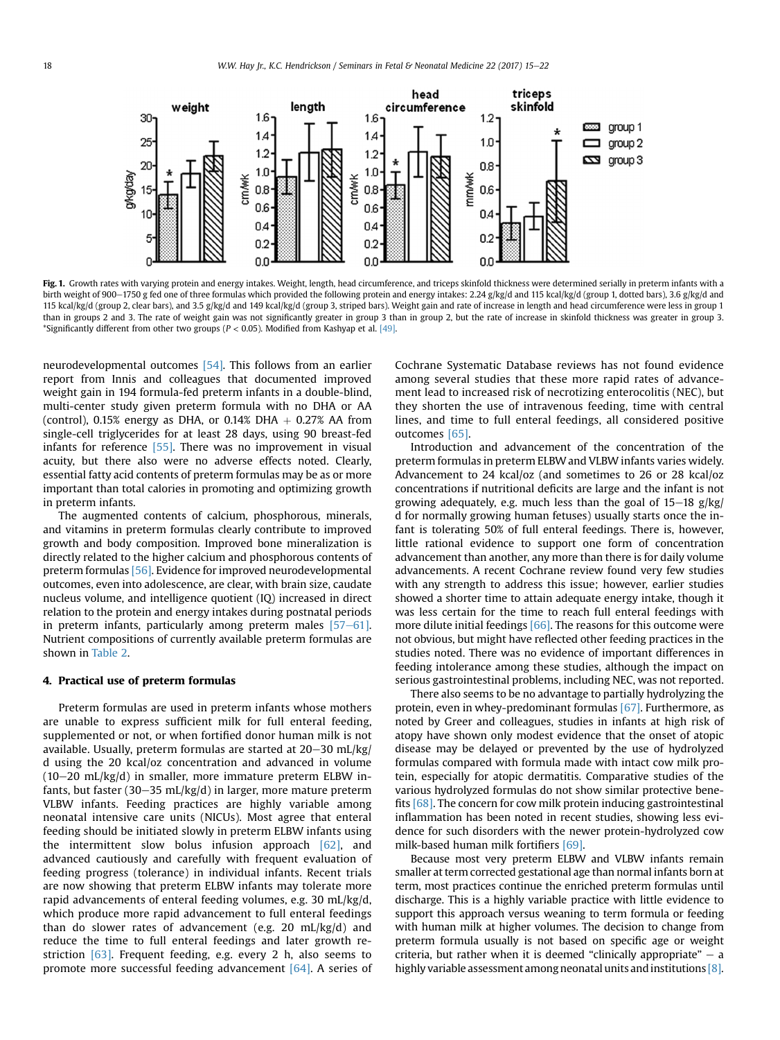<span id="page-3-0"></span>

Fig. 1. Growth rates with varying protein and energy intakes. Weight, length, head circumference, and triceps skinfold thickness were determined serially in preterm infants with a birth weight of 900–1750 g fed one of three formulas which provided the following protein and energy intakes: 2.24 g/kg/d and 115 kcal/kg/d (group 1, dotted bars), 3.6 g/kg/d and 115 kcal/kg/d (group 2, clear bars), and 3.5 g/kg/d and 149 kcal/kg/d (group 3, striped bars). Weight gain and rate of increase in length and head circumference were less in group 1 than in groups 2 and 3. The rate of weight gain was not significantly greater in group 3 than in group 2, but the rate of increase in skinfold thickness was greater in group 3. \*Significantly different from other two groups ( $P < 0.05$ ). Modified from Kashyap et al. [\[49\].](#page-6-0)

neurodevelopmental outcomes [\[54\]](#page-7-0). This follows from an earlier report from Innis and colleagues that documented improved weight gain in 194 formula-fed preterm infants in a double-blind, multi-center study given preterm formula with no DHA or AA (control), 0.15% energy as DHA, or 0.14% DHA  $+$  0.27% AA from single-cell triglycerides for at least 28 days, using 90 breast-fed infants for reference [\[55\].](#page-7-0) There was no improvement in visual acuity, but there also were no adverse effects noted. Clearly, essential fatty acid contents of preterm formulas may be as or more important than total calories in promoting and optimizing growth in preterm infants.

The augmented contents of calcium, phosphorous, minerals, and vitamins in preterm formulas clearly contribute to improved growth and body composition. Improved bone mineralization is directly related to the higher calcium and phosphorous contents of preterm formulas [\[56\].](#page-7-0) Evidence for improved neurodevelopmental outcomes, even into adolescence, are clear, with brain size, caudate nucleus volume, and intelligence quotient (IQ) increased in direct relation to the protein and energy intakes during postnatal periods in preterm infants, particularly among preterm males  $[57-61]$  $[57-61]$ . Nutrient compositions of currently available preterm formulas are shown in [Table 2](#page-4-0).

# 4. Practical use of preterm formulas

Preterm formulas are used in preterm infants whose mothers are unable to express sufficient milk for full enteral feeding, supplemented or not, or when fortified donor human milk is not available. Usually, preterm formulas are started at  $20-30$  mL/kg/ d using the 20 kcal/oz concentration and advanced in volume  $(10-20 \text{ mL/kg/d})$  in smaller, more immature preterm ELBW infants, but faster (30-35 mL/kg/d) in larger, more mature preterm VLBW infants. Feeding practices are highly variable among neonatal intensive care units (NICUs). Most agree that enteral feeding should be initiated slowly in preterm ELBW infants using the intermittent slow bolus infusion approach [\[62\],](#page-7-0) and advanced cautiously and carefully with frequent evaluation of feeding progress (tolerance) in individual infants. Recent trials are now showing that preterm ELBW infants may tolerate more rapid advancements of enteral feeding volumes, e.g. 30 mL/kg/d, which produce more rapid advancement to full enteral feedings than do slower rates of advancement (e.g. 20 mL/kg/d) and reduce the time to full enteral feedings and later growth restriction [\[63\]](#page-7-0). Frequent feeding, e.g. every 2 h, also seems to promote more successful feeding advancement [\[64\]](#page-7-0). A series of Cochrane Systematic Database reviews has not found evidence among several studies that these more rapid rates of advancement lead to increased risk of necrotizing enterocolitis (NEC), but they shorten the use of intravenous feeding, time with central lines, and time to full enteral feedings, all considered positive outcomes [\[65\].](#page-7-0)

Introduction and advancement of the concentration of the preterm formulas in preterm ELBW and VLBW infants varies widely. Advancement to 24 kcal/oz (and sometimes to 26 or 28 kcal/oz concentrations if nutritional deficits are large and the infant is not growing adequately, e.g. much less than the goal of  $15-18$  g/kg/ d for normally growing human fetuses) usually starts once the infant is tolerating 50% of full enteral feedings. There is, however, little rational evidence to support one form of concentration advancement than another, any more than there is for daily volume advancements. A recent Cochrane review found very few studies with any strength to address this issue; however, earlier studies showed a shorter time to attain adequate energy intake, though it was less certain for the time to reach full enteral feedings with more dilute initial feedings  $[66]$ . The reasons for this outcome were not obvious, but might have reflected other feeding practices in the studies noted. There was no evidence of important differences in feeding intolerance among these studies, although the impact on serious gastrointestinal problems, including NEC, was not reported.

There also seems to be no advantage to partially hydrolyzing the protein, even in whey-predominant formulas [\[67\]](#page-7-0). Furthermore, as noted by Greer and colleagues, studies in infants at high risk of atopy have shown only modest evidence that the onset of atopic disease may be delayed or prevented by the use of hydrolyzed formulas compared with formula made with intact cow milk protein, especially for atopic dermatitis. Comparative studies of the various hydrolyzed formulas do not show similar protective benefits [\[68\].](#page-7-0) The concern for cow milk protein inducing gastrointestinal inflammation has been noted in recent studies, showing less evidence for such disorders with the newer protein-hydrolyzed cow milk-based human milk fortifiers [\[69\]](#page-7-0).

Because most very preterm ELBW and VLBW infants remain smaller at term corrected gestational age than normal infants born at term, most practices continue the enriched preterm formulas until discharge. This is a highly variable practice with little evidence to support this approach versus weaning to term formula or feeding with human milk at higher volumes. The decision to change from preterm formula usually is not based on specific age or weight criteria, but rather when it is deemed "clinically appropriate"  $-$  a highly variable assessment among neonatal units and institutions [\[8\].](#page-6-0)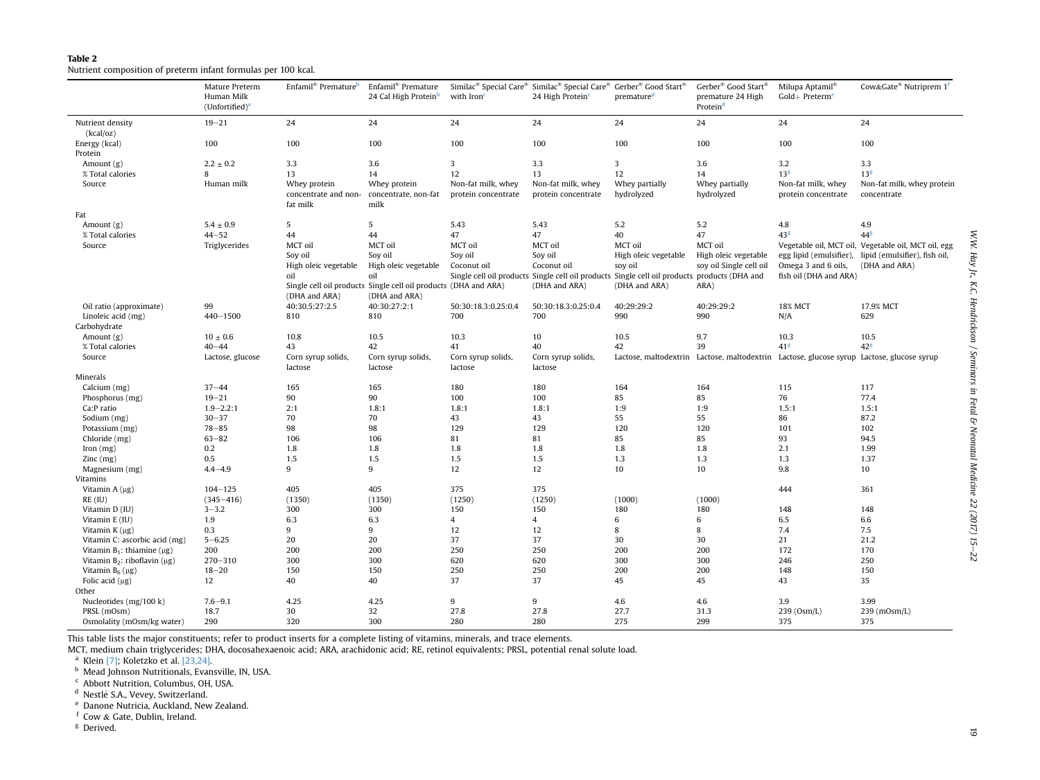# <span id="page-4-0"></span>Table 2Nutrient composition of preterm infant formulas per 100 kcal.

|                                        | Mature Preterm<br>Human Milk<br>(Unfortified) <sup>a</sup> | Enfamil <sup>®</sup> Premature <sup>b</sup>               | Enfamil <sup>®</sup> Premature<br>24 Cal High Protein <sup>b</sup>               | with Iron <sup>c</sup>                    | Similac <sup>®</sup> Special Care <sup>®</sup> Similac <sup>®</sup> Special Care <sup>®</sup> Gerber <sup>®</sup> Good Start <sup>®</sup><br>24 High Protein | premature <sup>d</sup>       | Gerber <sup>®</sup> Good Start <sup>®</sup><br>premature 24 High<br>Protein <sup>d</sup> | Milupa Aptamil <sup>®</sup><br>$Gold+Preterm6$ | Cow&Gate <sup>®</sup> Nutriprem 1 <sup>f</sup>                                            |
|----------------------------------------|------------------------------------------------------------|-----------------------------------------------------------|----------------------------------------------------------------------------------|-------------------------------------------|--------------------------------------------------------------------------------------------------------------------------------------------------------------|------------------------------|------------------------------------------------------------------------------------------|------------------------------------------------|-------------------------------------------------------------------------------------------|
| Nutrient density<br>(kcal/oz)          | $19 - 21$                                                  | 24                                                        | 24                                                                               | 24                                        | 24                                                                                                                                                           | 24                           | 24                                                                                       | 24                                             | 24                                                                                        |
| Energy (kcal)<br>Protein               | 100                                                        | 100                                                       | 100                                                                              | 100                                       | 100                                                                                                                                                          | 100                          | 100                                                                                      | 100                                            | 100                                                                                       |
| Amount $(g)$                           | $2.2 \pm 0.2$                                              | 3.3                                                       | 3.6                                                                              | $\overline{3}$                            | 3.3                                                                                                                                                          | $\overline{\mathbf{3}}$      | 3.6                                                                                      | 3.2                                            | 3.3                                                                                       |
| % Total calories                       | 8                                                          | 13                                                        | 14                                                                               | 12                                        | 13                                                                                                                                                           | 12                           | 14                                                                                       | 13 <sup>g</sup>                                | 13 <sup>g</sup>                                                                           |
| Source                                 | Human milk                                                 | Whey protein<br>concentrate and non- concentrate, non-fat | Whey protein                                                                     | Non-fat milk, whey<br>protein concentrate | Non-fat milk, whey<br>protein concentrate                                                                                                                    | Whey partially<br>hydrolyzed | Whey partially<br>hydrolyzed                                                             | Non-fat milk, whey<br>protein concentrate      | Non-fat milk, whey protein<br>concentrate                                                 |
|                                        |                                                            | fat milk                                                  | milk                                                                             |                                           |                                                                                                                                                              |                              |                                                                                          |                                                |                                                                                           |
| Fat                                    |                                                            |                                                           |                                                                                  |                                           |                                                                                                                                                              |                              |                                                                                          |                                                |                                                                                           |
| Amount $(g)$                           | $5.4 \pm 0.9$                                              | 5                                                         | 5                                                                                | 5.43                                      | 5.43                                                                                                                                                         | 5.2                          | 5.2                                                                                      | 4.8                                            | 4.9                                                                                       |
| % Total calories                       | $44 - 52$                                                  | 44                                                        | 44                                                                               | 47                                        | 47                                                                                                                                                           | 40                           | 47                                                                                       | 43 <sup>g</sup>                                | $44^{\text{g}}$                                                                           |
| Source                                 | Triglycerides                                              | MCT oil                                                   | MCT oil                                                                          | MCT oil                                   | MCT oil                                                                                                                                                      | MCT oil                      | MCT oil                                                                                  |                                                | Vegetable oil, MCT oil, Vegetable oil, MCT oil, egg                                       |
|                                        |                                                            | Soy oil                                                   | Soy oil                                                                          | Soy oil                                   | Soy oil                                                                                                                                                      | High oleic vegetable         | High oleic vegetable                                                                     |                                                | egg lipid (emulsifier), lipid (emulsifier), fish oil,                                     |
|                                        |                                                            | High oleic vegetable                                      | High oleic vegetable                                                             | Coconut oil                               | Coconut oil                                                                                                                                                  | soy oil                      | soy oil Single cell oil                                                                  | Omega 3 and 6 oils,                            | (DHA and ARA)                                                                             |
|                                        |                                                            | oil                                                       | oil                                                                              |                                           | Single cell oil products Single cell oil products Single cell oil products products (DHA and                                                                 |                              |                                                                                          | fish oil (DHA and ARA)                         |                                                                                           |
|                                        |                                                            | (DHA and ARA)                                             | Single cell oil products Single cell oil products (DHA and ARA)<br>(DHA and ARA) |                                           | (DHA and ARA)                                                                                                                                                | (DHA and ARA)                | ARA)                                                                                     |                                                |                                                                                           |
| Oil ratio (approximate)                | 99                                                         | 40:30.5:27:2.5                                            | 40:30:27:2:1                                                                     | 50:30:18.3:0.25:0.4                       | 50:30:18.3:0.25:0.4                                                                                                                                          | 40:29:29:2                   | 40:29:29:2                                                                               | <b>18% MCT</b>                                 | 17.9% MCT                                                                                 |
| Linoleic acid (mg)                     | $440 - 1500$                                               | 810                                                       | 810                                                                              | 700                                       | 700                                                                                                                                                          | 990                          | 990                                                                                      | N/A                                            | 629                                                                                       |
| Carbohydrate                           |                                                            |                                                           |                                                                                  |                                           |                                                                                                                                                              |                              |                                                                                          |                                                |                                                                                           |
| Amount $(g)$                           | $10 \pm 0.6$                                               | 10.8                                                      | 10.5                                                                             | 10.3                                      | 10                                                                                                                                                           | 10.5                         | 9.7                                                                                      | 10.3                                           | 10.5                                                                                      |
| % Total calories                       | $40 - 44$                                                  | 43                                                        | 42                                                                               | 41                                        | 40                                                                                                                                                           | 42                           | 39                                                                                       | 41 <sup>g</sup>                                | $42^g$                                                                                    |
| Source                                 | Lactose, glucose                                           | Corn syrup solids,                                        | Corn syrup solids,                                                               | Corn syrup solids,                        | Corn syrup solids,                                                                                                                                           |                              |                                                                                          |                                                | Lactose, maltodextrin Lactose, maltodextrin Lactose, glucose syrup Lactose, glucose syrup |
|                                        |                                                            | lactose                                                   | lactose                                                                          | lactose                                   | lactose                                                                                                                                                      |                              |                                                                                          |                                                |                                                                                           |
| Minerals                               |                                                            |                                                           |                                                                                  |                                           |                                                                                                                                                              |                              |                                                                                          |                                                |                                                                                           |
| Calcium (mg)                           | $37 - 44$                                                  | 165                                                       | 165                                                                              | 180                                       | 180                                                                                                                                                          | 164                          | 164                                                                                      | 115                                            | 117                                                                                       |
| Phosphorus (mg)                        | $19 - 21$                                                  | 90                                                        | 90                                                                               | 100                                       | 100                                                                                                                                                          | 85                           | 85                                                                                       | 76                                             | 77.4                                                                                      |
| Ca:P ratio                             | $1.9 - 2.2:1$                                              | 2:1                                                       | 1.8:1                                                                            | 1.8:1                                     | 1.8:1                                                                                                                                                        | 1:9                          | 1:9                                                                                      | 1.5:1                                          | 1.5:1                                                                                     |
| Sodium (mg)                            | $30 - 37$                                                  | 70                                                        | 70                                                                               | 43                                        | 43                                                                                                                                                           | 55                           | 55                                                                                       | 86                                             | 87.2                                                                                      |
| Potassium (mg)                         | $78 - 85$                                                  | 98                                                        | 98                                                                               | 129                                       | 129                                                                                                                                                          | 120                          | 120                                                                                      | 101                                            | 102                                                                                       |
| Chloride (mg)                          | $63 - 82$                                                  | 106                                                       | 106                                                                              | 81                                        | 81                                                                                                                                                           | 85                           | 85                                                                                       | 93                                             | 94.5                                                                                      |
| Iron $(mg)$                            | 0.2                                                        | 1.8                                                       | 1.8                                                                              | 1.8                                       | 1.8                                                                                                                                                          | 1.8                          | 1.8                                                                                      | 2.1                                            | 1.99                                                                                      |
| $\text{Zinc} \left( \text{mg} \right)$ | 0.5                                                        | 1.5                                                       | 1.5                                                                              | 1.5                                       | 1.5                                                                                                                                                          | 1.3                          | 1.3                                                                                      | 1.3                                            | 1.37                                                                                      |
| Magnesium (mg)                         | $4.4 - 4.9$                                                | 9                                                         | 9                                                                                | 12                                        | 12                                                                                                                                                           | 10                           | 10                                                                                       | 9.8                                            | 10                                                                                        |
| Vitamins                               |                                                            |                                                           |                                                                                  |                                           |                                                                                                                                                              |                              |                                                                                          |                                                |                                                                                           |
| Vitamin $A(\mu g)$                     | $104 - 125$                                                | 405                                                       | 405                                                                              | 375                                       | 375                                                                                                                                                          |                              |                                                                                          | 444                                            | 361                                                                                       |
| $RE$ (IU)                              | $(345 - 416)$                                              | (1350)                                                    | (1350)                                                                           | (1250)                                    | (1250)                                                                                                                                                       | (1000)                       | (1000)                                                                                   |                                                |                                                                                           |
| Vitamin D (IU)                         | $3 - 3.2$                                                  | 300                                                       | 300                                                                              | 150                                       | 150                                                                                                                                                          | 180                          | 180                                                                                      | 148                                            | 148                                                                                       |
| Vitamin E (IU)                         | 1.9                                                        | 6.3                                                       | 6.3                                                                              | 4                                         | 4                                                                                                                                                            | 6                            | 6                                                                                        | 6.5                                            | 6.6                                                                                       |
| Vitamin $K(\mu g)$                     | 0.3                                                        | 9                                                         | 9                                                                                | 12                                        | 12                                                                                                                                                           | 8                            | 8                                                                                        | 7.4                                            | 7.5                                                                                       |
| Vitamin C: ascorbic acid (mg)          | $5 - 6.25$                                                 | 20                                                        | 20                                                                               | 37                                        | 37                                                                                                                                                           | 30                           | 30                                                                                       | 21                                             | 21.2                                                                                      |
| Vitamin $B_1$ : thiamine ( $\mu$ g)    | 200                                                        | 200                                                       | 200                                                                              | 250                                       | 250                                                                                                                                                          | 200                          | 200                                                                                      | 172                                            | 170                                                                                       |
| Vitamin $B_2$ : riboflavin ( $\mu$ g)  | $270 - 310$                                                | 300                                                       | 300                                                                              | 620                                       | 620                                                                                                                                                          | 300                          | 300                                                                                      | 246                                            | 250                                                                                       |
| Vitamin $B_6(\mu g)$                   | $18 - 20$                                                  | 150                                                       | 150                                                                              | 250                                       | 250                                                                                                                                                          | 200                          | 200                                                                                      | 148                                            | 150                                                                                       |
| Folic acid $(\mu g)$                   | 12                                                         | 40                                                        | 40                                                                               | 37                                        | 37                                                                                                                                                           | 45                           | 45                                                                                       | 43                                             | 35                                                                                        |
|                                        |                                                            |                                                           |                                                                                  |                                           |                                                                                                                                                              |                              |                                                                                          |                                                |                                                                                           |
| Other                                  |                                                            |                                                           |                                                                                  |                                           |                                                                                                                                                              |                              |                                                                                          |                                                |                                                                                           |
| Nucleotides (mg/100 k)                 | $7.6 - 9.1$                                                | 4.25                                                      | 4.25                                                                             | 9                                         | 9                                                                                                                                                            | 4.6                          | 4.6                                                                                      | 3.9                                            | 3.99                                                                                      |
| PRSL (mOsm)                            | 18.7                                                       | 30                                                        | 32                                                                               | 27.8                                      | 27.8                                                                                                                                                         | 27.7                         | 31.3                                                                                     | 239 (Osm/L)                                    | $239$ (mOsm/L)                                                                            |
| Osmolality (mOsm/kg water)             | 290                                                        | 320                                                       | 300                                                                              | 280                                       | 280                                                                                                                                                          | 275                          | 299                                                                                      | 375                                            | 375                                                                                       |

This table lists the major constituents; refer to product inserts for <sup>a</sup> complete listing of vitamins, minerals, and trace elements.

MCT, medium chain triglycerides; DHA, docosahexaenoic acid; ARA, arachidonic acid; RE, retinol equivalents; PRSL, potential renal solute load.

<sup>a</sup> Klein [\[7\]](#page-6-0); Koletzko et al. [\[23,24\]](#page-6-0).<br><sup>b</sup> Mead Johnson Nutritionals, Evansville, IN, USA.<br><sup>c</sup> Abbott Nutrition. Columbus. OH. USA.

<sup>d</sup> Nestlé S.A., Vevey, Switzerland.

<sup>e</sup> Danone Nutricia, Auckland, New Zealand.

f Cow & Gate, Dublin, Ireland.

<sup>g</sup> Derived.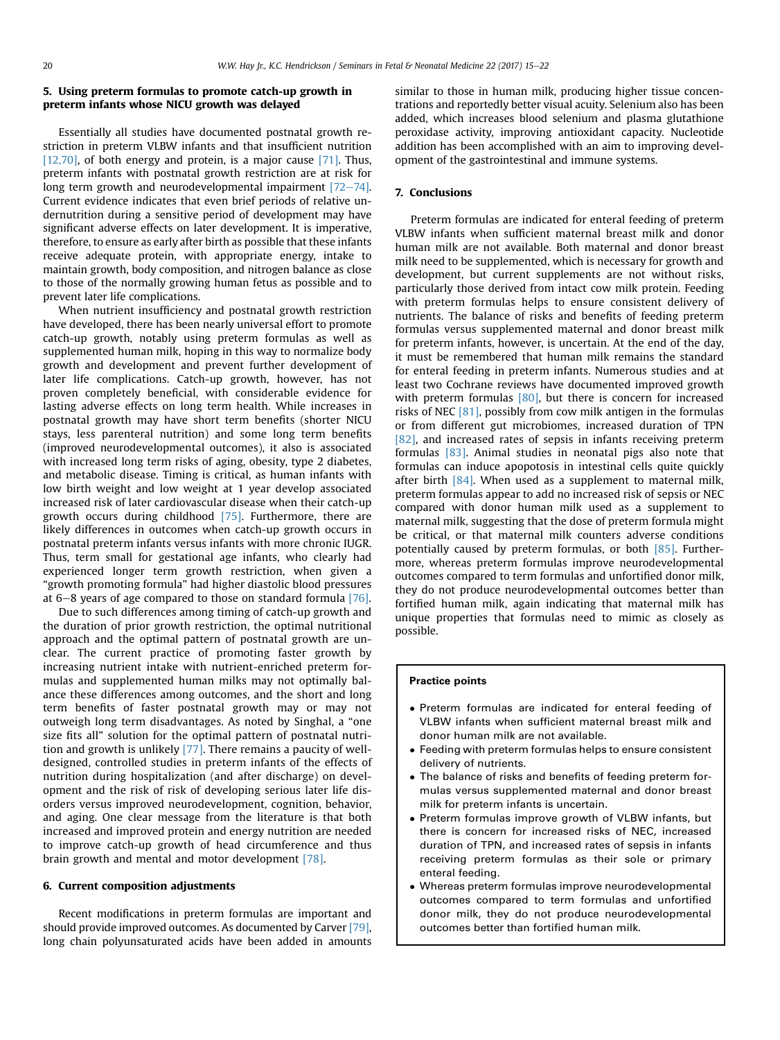# 5. Using preterm formulas to promote catch-up growth in preterm infants whose NICU growth was delayed

Essentially all studies have documented postnatal growth restriction in preterm VLBW infants and that insufficient nutrition [\[12,70\]](#page-6-0), of both energy and protein, is a major cause [\[71\]](#page-7-0). Thus, preterm infants with postnatal growth restriction are at risk for long term growth and neurodevelopmental impairment  $[72-74]$  $[72-74]$ . Current evidence indicates that even brief periods of relative undernutrition during a sensitive period of development may have significant adverse effects on later development. It is imperative, therefore, to ensure as early after birth as possible that these infants receive adequate protein, with appropriate energy, intake to maintain growth, body composition, and nitrogen balance as close to those of the normally growing human fetus as possible and to prevent later life complications.

When nutrient insufficiency and postnatal growth restriction have developed, there has been nearly universal effort to promote catch-up growth, notably using preterm formulas as well as supplemented human milk, hoping in this way to normalize body growth and development and prevent further development of later life complications. Catch-up growth, however, has not proven completely beneficial, with considerable evidence for lasting adverse effects on long term health. While increases in postnatal growth may have short term benefits (shorter NICU stays, less parenteral nutrition) and some long term benefits (improved neurodevelopmental outcomes), it also is associated with increased long term risks of aging, obesity, type 2 diabetes, and metabolic disease. Timing is critical, as human infants with low birth weight and low weight at 1 year develop associated increased risk of later cardiovascular disease when their catch-up growth occurs during childhood [\[75\]](#page-7-0). Furthermore, there are likely differences in outcomes when catch-up growth occurs in postnatal preterm infants versus infants with more chronic IUGR. Thus, term small for gestational age infants, who clearly had experienced longer term growth restriction, when given a "growth promoting formula" had higher diastolic blood pressures at  $6-8$  years of age compared to those on standard formula [\[76\].](#page-7-0)

Due to such differences among timing of catch-up growth and the duration of prior growth restriction, the optimal nutritional approach and the optimal pattern of postnatal growth are unclear. The current practice of promoting faster growth by increasing nutrient intake with nutrient-enriched preterm formulas and supplemented human milks may not optimally balance these differences among outcomes, and the short and long term benefits of faster postnatal growth may or may not outweigh long term disadvantages. As noted by Singhal, a "one size fits all" solution for the optimal pattern of postnatal nutrition and growth is unlikely [\[77\]](#page-7-0). There remains a paucity of welldesigned, controlled studies in preterm infants of the effects of nutrition during hospitalization (and after discharge) on development and the risk of risk of developing serious later life disorders versus improved neurodevelopment, cognition, behavior, and aging. One clear message from the literature is that both increased and improved protein and energy nutrition are needed to improve catch-up growth of head circumference and thus brain growth and mental and motor development [\[78\]](#page-7-0).

# 6. Current composition adjustments

Recent modifications in preterm formulas are important and should provide improved outcomes. As documented by Carver [\[79\],](#page-7-0) long chain polyunsaturated acids have been added in amounts similar to those in human milk, producing higher tissue concentrations and reportedly better visual acuity. Selenium also has been added, which increases blood selenium and plasma glutathione peroxidase activity, improving antioxidant capacity. Nucleotide addition has been accomplished with an aim to improving development of the gastrointestinal and immune systems.

# 7. Conclusions

Preterm formulas are indicated for enteral feeding of preterm VLBW infants when sufficient maternal breast milk and donor human milk are not available. Both maternal and donor breast milk need to be supplemented, which is necessary for growth and development, but current supplements are not without risks, particularly those derived from intact cow milk protein. Feeding with preterm formulas helps to ensure consistent delivery of nutrients. The balance of risks and benefits of feeding preterm formulas versus supplemented maternal and donor breast milk for preterm infants, however, is uncertain. At the end of the day, it must be remembered that human milk remains the standard for enteral feeding in preterm infants. Numerous studies and at least two Cochrane reviews have documented improved growth with preterm formulas  $[80]$ , but there is concern for increased risks of NEC [\[81\],](#page-7-0) possibly from cow milk antigen in the formulas or from different gut microbiomes, increased duration of TPN [\[82\]](#page-7-0), and increased rates of sepsis in infants receiving preterm formulas [\[83\].](#page-7-0) Animal studies in neonatal pigs also note that formulas can induce apopotosis in intestinal cells quite quickly after birth [\[84\]](#page-7-0). When used as a supplement to maternal milk, preterm formulas appear to add no increased risk of sepsis or NEC compared with donor human milk used as a supplement to maternal milk, suggesting that the dose of preterm formula might be critical, or that maternal milk counters adverse conditions potentially caused by preterm formulas, or both [\[85\]](#page-7-0). Furthermore, whereas preterm formulas improve neurodevelopmental outcomes compared to term formulas and unfortified donor milk, they do not produce neurodevelopmental outcomes better than fortified human milk, again indicating that maternal milk has unique properties that formulas need to mimic as closely as possible.

# Practice points

- Preterm formulas are indicated for enteral feeding of VLBW infants when sufficient maternal breast milk and donor human milk are not available.
- Feeding with preterm formulas helps to ensure consistent delivery of nutrients.
- The balance of risks and benefits of feeding preterm formulas versus supplemented maternal and donor breast milk for preterm infants is uncertain.
- Preterm formulas improve growth of VLBW infants, but there is concern for increased risks of NEC, increased duration of TPN, and increased rates of sepsis in infants receiving preterm formulas as their sole or primary enteral feeding.
- Whereas preterm formulas improve neurodevelopmental outcomes compared to term formulas and unfortified donor milk, they do not produce neurodevelopmental outcomes better than fortified human milk.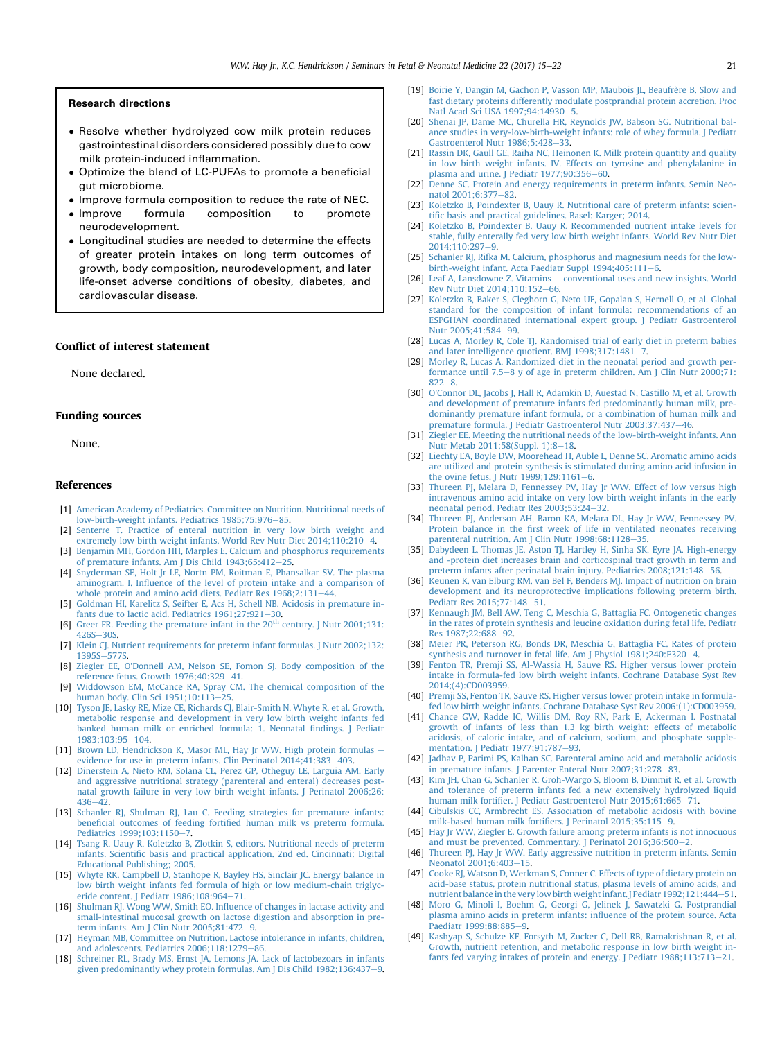#### <span id="page-6-0"></span>Research directions

- Resolve whether hydrolyzed cow milk protein reduces gastrointestinal disorders considered possibly due to cow milk protein-induced inflammation.
- Optimize the blend of LC-PUFAs to promote a beneficial gut microbiome.
- Improve formula composition to reduce the rate of NEC.<br>• Improve formula composition to promote
- composition neurodevelopment.
- Longitudinal studies are needed to determine the effects of greater protein intakes on long term outcomes of growth, body composition, neurodevelopment, and later life-onset adverse conditions of obesity, diabetes, and cardiovascular disease.

#### Conflict of interest statement

None declared.

## Funding sources

None.

# References

- [1] [American Academy of Pediatrics. Committee on Nutrition. Nutritional needs of](http://refhub.elsevier.com/S1744-165X(16)30047-6/sref1) [low-birth-weight infants. Pediatrics 1985;75:976](http://refhub.elsevier.com/S1744-165X(16)30047-6/sref1)-[85.](http://refhub.elsevier.com/S1744-165X(16)30047-6/sref1)
- [2] [Senterre T. Practice of enteral nutrition in very low birth weight and](http://refhub.elsevier.com/S1744-165X(16)30047-6/sref2) extremely low birth weight infants. World Rev Nutr Diet  $2014;110:210-4$  $2014;110:210-4$  $2014;110:210-4$ .
- [3] [Benjamin MH, Gordon HH, Marples E. Calcium and phosphorus requirements](http://refhub.elsevier.com/S1744-165X(16)30047-6/sref3) [of premature infants. Am J Dis Child 1943;65:412](http://refhub.elsevier.com/S1744-165X(16)30047-6/sref3)-[25](http://refhub.elsevier.com/S1744-165X(16)30047-6/sref3).
- [4] [Snyderman SE, Holt Jr LE, Nortn PM, Roitman E, Phansalkar SV. The plasma](http://refhub.elsevier.com/S1744-165X(16)30047-6/sref4) aminogram. I. Infl[uence of the level of protein intake and a comparison of](http://refhub.elsevier.com/S1744-165X(16)30047-6/sref4) [whole protein and amino acid diets. Pediatr Res 1968;2:131](http://refhub.elsevier.com/S1744-165X(16)30047-6/sref4)-[44](http://refhub.elsevier.com/S1744-165X(16)30047-6/sref4).
- [5] [Goldman HI, Karelitz S, Seifter E, Acs H, Schell NB. Acidosis in premature in](http://refhub.elsevier.com/S1744-165X(16)30047-6/sref5)fants due to lactic acid. Pediatrics  $1961:27:921-30$  $1961:27:921-30$ .
- [6] [Greer](http://refhub.elsevier.com/S1744-165X(16)30047-6/sref6) [FR.](http://refhub.elsevier.com/S1744-165X(16)30047-6/sref6) [Feeding](http://refhub.elsevier.com/S1744-165X(16)30047-6/sref6) [the](http://refhub.elsevier.com/S1744-165X(16)30047-6/sref6) [premature](http://refhub.elsevier.com/S1744-165X(16)30047-6/sref6) [infant](http://refhub.elsevier.com/S1744-165X(16)30047-6/sref6) [in](http://refhub.elsevier.com/S1744-165X(16)30047-6/sref6) the [20](http://refhub.elsevier.com/S1744-165X(16)30047-6/sref6)<sup>th</sup> [century. J Nutr 2001;131:](http://refhub.elsevier.com/S1744-165X(16)30047-6/sref6) [426S](http://refhub.elsevier.com/S1744-165X(16)30047-6/sref6)-[30S](http://refhub.elsevier.com/S1744-165X(16)30047-6/sref6).
- [7] [Klein CJ. Nutrient requirements for preterm infant formulas. J Nutr 2002;132:](http://refhub.elsevier.com/S1744-165X(16)30047-6/sref7) [1395S](http://refhub.elsevier.com/S1744-165X(16)30047-6/sref7)-[577S.](http://refhub.elsevier.com/S1744-165X(16)30047-6/sref7)
- [8] Ziegler EE, O'[Donnell AM, Nelson SE, Fomon SJ. Body composition of the](http://refhub.elsevier.com/S1744-165X(16)30047-6/sref8) reference fetus. Growth  $1976;40:329-41$  $1976;40:329-41$ .
- [Widdowson EM, McCance RA, Spray CM. The chemical composition of the](http://refhub.elsevier.com/S1744-165X(16)30047-6/sref9) human body. Clin Sci  $1951:10:113-25$ .
- [10] [Tyson JE, Lasky RE, Mize CE, Richards CJ, Blair-Smith N, Whyte R, et al. Growth,](http://refhub.elsevier.com/S1744-165X(16)30047-6/sref10) [metabolic response and development in very low birth weight infants fed](http://refhub.elsevier.com/S1744-165X(16)30047-6/sref10) [banked human milk or enriched formula: 1. Neonatal](http://refhub.elsevier.com/S1744-165X(16)30047-6/sref10) findings. J Pediatr 1983:103:95-[104.](http://refhub.elsevier.com/S1744-165X(16)30047-6/sref10)
- [11] [Brown LD, Hendrickson K, Masor ML, Hay Jr WW. High protein formulas](http://refhub.elsevier.com/S1744-165X(16)30047-6/sref11) [evidence for use in preterm infants. Clin Perinatol 2014;41:383](http://refhub.elsevier.com/S1744-165X(16)30047-6/sref11)–[403](http://refhub.elsevier.com/S1744-165X(16)30047-6/sref11).
- [12] [Dinerstein A, Nieto RM, Solana CL, Perez GP, Otheguy LE, Larguia AM. Early](http://refhub.elsevier.com/S1744-165X(16)30047-6/sref12) [and aggressive nutritional strategy \(parenteral and enteral\) decreases post](http://refhub.elsevier.com/S1744-165X(16)30047-6/sref12)[natal growth failure in very low birth weight infants. J Perinatol 2006;26:](http://refhub.elsevier.com/S1744-165X(16)30047-6/sref12)  $436 - 42$  $436 - 42$
- [13] [Schanler RJ, Shulman RJ, Lau C. Feeding strategies for premature infants:](http://refhub.elsevier.com/S1744-165X(16)30047-6/sref13) beneficial outcomes of feeding fortifi[ed human milk vs preterm formula.](http://refhub.elsevier.com/S1744-165X(16)30047-6/sref13) Pediatrics 1999:103:1150-[7.](http://refhub.elsevier.com/S1744-165X(16)30047-6/sref13)
- [14] [Tsang R, Uauy R, Koletzko B, Zlotkin S, editors. Nutritional needs of preterm](http://refhub.elsevier.com/S1744-165X(16)30047-6/sref14) infants. Scientifi[c basis and practical application. 2nd ed. Cincinnati: Digital](http://refhub.elsevier.com/S1744-165X(16)30047-6/sref14) [Educational Publishing; 2005.](http://refhub.elsevier.com/S1744-165X(16)30047-6/sref14)
- [15] [Whyte RK, Campbell D, Stanhope R, Bayley HS, Sinclair JC. Energy balance in](http://refhub.elsevier.com/S1744-165X(16)30047-6/sref15) [low birth weight infants fed formula of high or low medium-chain triglyc](http://refhub.elsevier.com/S1744-165X(16)30047-6/sref15)[eride content. J Pediatr 1986;108:964](http://refhub.elsevier.com/S1744-165X(16)30047-6/sref15)–[71](http://refhub.elsevier.com/S1744-165X(16)30047-6/sref15).<br>[16] Shulman RJ, Wong WW, Smith EO. Infl[uence of changes in lactase activity and](http://refhub.elsevier.com/S1744-165X(16)30047-6/sref16)
- [small-intestinal mucosal growth on lactose digestion and absorption in pre](http://refhub.elsevier.com/S1744-165X(16)30047-6/sref16)[term infants. Am J Clin Nutr 2005;81:472](http://refhub.elsevier.com/S1744-165X(16)30047-6/sref16)-[9.](http://refhub.elsevier.com/S1744-165X(16)30047-6/sref16)
- [17] [Heyman MB, Committee on Nutrition. Lactose intolerance in infants, children,](http://refhub.elsevier.com/S1744-165X(16)30047-6/sref17) and adolescents. Pediatrics 2006:118:1279-86
- [18] [Schreiner RL, Brady MS, Ernst JA, Lemons JA. Lack of lactobezoars in infants](http://refhub.elsevier.com/S1744-165X(16)30047-6/sref18) [given predominantly whey protein formulas. Am J Dis Child 1982;136:437](http://refhub.elsevier.com/S1744-165X(16)30047-6/sref18)-[9](http://refhub.elsevier.com/S1744-165X(16)30047-6/sref18).
- [19] Boirie Y, Dangin M, Gachon P, Vasson MP, Maubois JL, Beaufrère B. Slow and [fast dietary proteins differently modulate postprandial protein accretion. Proc](http://refhub.elsevier.com/S1744-165X(16)30047-6/sref19) [Natl Acad Sci USA 1997;94:14930](http://refhub.elsevier.com/S1744-165X(16)30047-6/sref19)-[5](http://refhub.elsevier.com/S1744-165X(16)30047-6/sref19).
- [20] [Shenai JP, Dame MC, Churella HR, Reynolds JW, Babson SG. Nutritional bal](http://refhub.elsevier.com/S1744-165X(16)30047-6/sref20)[ance studies in very-low-birth-weight infants: role of whey formula. J Pediatr](http://refhub.elsevier.com/S1744-165X(16)30047-6/sref20) Gastroenterol Nutr  $1986;5:428-33$  $1986;5:428-33$ .
- [21] [Rassin DK, Gaull GE, Raiha NC, Heinonen K. Milk protein quantity and quality](http://refhub.elsevier.com/S1744-165X(16)30047-6/sref21) [in low birth weight infants. IV. Effects on tyrosine and phenylalanine in](http://refhub.elsevier.com/S1744-165X(16)30047-6/sref21) plasma and urine. I Pediatr  $1977:90:356-60$  $1977:90:356-60$ .
- [22] [Denne SC. Protein and energy requirements in preterm infants. Semin Neo-](http://refhub.elsevier.com/S1744-165X(16)30047-6/sref22)natol 2001:6:377-[82.](http://refhub.elsevier.com/S1744-165X(16)30047-6/sref22)
- [23] [Koletzko B, Poindexter B, Uauy R. Nutritional care of preterm infants: scien](http://refhub.elsevier.com/S1744-165X(16)30047-6/sref23)tifi[c basis and practical guidelines. Basel: Karger; 2014.](http://refhub.elsevier.com/S1744-165X(16)30047-6/sref23)
- [24] [Koletzko B, Poindexter B, Uauy R. Recommended nutrient intake levels for](http://refhub.elsevier.com/S1744-165X(16)30047-6/sref24) [stable, fully enterally fed very low birth weight infants. World Rev Nutr Diet](http://refhub.elsevier.com/S1744-165X(16)30047-6/sref24) 2014:110:2[9](http://refhub.elsevier.com/S1744-165X(16)30047-6/sref24)7-9.
- [25] [Schanler RJ, Rifka M. Calcium, phosphorus and magnesium needs for the low](http://refhub.elsevier.com/S1744-165X(16)30047-6/sref25)[birth-weight infant. Acta Paediatr Suppl 1994;405:111](http://refhub.elsevier.com/S1744-165X(16)30047-6/sref25)-[6](http://refhub.elsevier.com/S1744-165X(16)30047-6/sref25).
- [26] Leaf A, Lansdowne Z, Vitamins [conventional uses and new insights. World](http://refhub.elsevier.com/S1744-165X(16)30047-6/sref26) [Rev Nutr Diet 2014;110:152](http://refhub.elsevier.com/S1744-165X(16)30047-6/sref26)–[66](http://refhub.elsevier.com/S1744-165X(16)30047-6/sref26).
- [27] [Koletzko B, Baker S, Cleghorn G, Neto UF, Gopalan S, Hernell O, et al. Global](http://refhub.elsevier.com/S1744-165X(16)30047-6/sref27) [standard for the composition of infant formula: recommendations of an](http://refhub.elsevier.com/S1744-165X(16)30047-6/sref27) [ESPGHAN coordinated international expert group. J Pediatr Gastroenterol](http://refhub.elsevier.com/S1744-165X(16)30047-6/sref27)  $N$ utr 2005;41:584-[99](http://refhub.elsevier.com/S1744-165X(16)30047-6/sref27).
- [28] [Lucas A, Morley R, Cole TJ. Randomised trial of early diet in preterm babies](http://refhub.elsevier.com/S1744-165X(16)30047-6/sref28) [and later intelligence quotient. BMJ 1998;317:1481](http://refhub.elsevier.com/S1744-165X(16)30047-6/sref28)-[7.](http://refhub.elsevier.com/S1744-165X(16)30047-6/sref28)
- [29] [Morley R, Lucas A. Randomized diet in the neonatal period and growth per](http://refhub.elsevier.com/S1744-165X(16)30047-6/sref29)[formance until 7.5](http://refhub.elsevier.com/S1744-165X(16)30047-6/sref29)–8 y of age in preterm children. Am I Clin Nutr 2000:71:  $822 - 8$  $822 - 8$
- [30] [O'Connor DL, Jacobs J, Hall R, Adamkin D, Auestad N, Castillo M, et al. Growth](http://refhub.elsevier.com/S1744-165X(16)30047-6/sref30) [and development of premature infants fed predominantly human milk, pre](http://refhub.elsevier.com/S1744-165X(16)30047-6/sref30)[dominantly premature infant formula, or a combination of human milk and](http://refhub.elsevier.com/S1744-165X(16)30047-6/sref30) [premature formula. J Pediatr Gastroenterol Nutr 2003;37:437](http://refhub.elsevier.com/S1744-165X(16)30047-6/sref30)-[46.](http://refhub.elsevier.com/S1744-165X(16)30047-6/sref30)
- [31] [Ziegler EE. Meeting the nutritional needs of the low-birth-weight infants. Ann](http://refhub.elsevier.com/S1744-165X(16)30047-6/sref31) [Nutr Metab 2011;58\(Suppl. 1\):8](http://refhub.elsevier.com/S1744-165X(16)30047-6/sref31)-[18.](http://refhub.elsevier.com/S1744-165X(16)30047-6/sref31)
- [32] [Liechty EA, Boyle DW, Moorehead H, Auble L, Denne SC. Aromatic amino acids](http://refhub.elsevier.com/S1744-165X(16)30047-6/sref32) [are utilized and protein synthesis is stimulated during amino acid infusion in](http://refhub.elsevier.com/S1744-165X(16)30047-6/sref32) the ovine fetus. J Nutr  $1999;129:1161-6$ .
- [33] [Thureen PJ, Melara D, Fennessey PV, Hay Jr WW. Effect of low versus high](http://refhub.elsevier.com/S1744-165X(16)30047-6/sref33) [intravenous amino acid intake on very low birth weight infants in the early](http://refhub.elsevier.com/S1744-165X(16)30047-6/sref33) [neonatal period. Pediatr Res 2003;53:24](http://refhub.elsevier.com/S1744-165X(16)30047-6/sref33)-[32.](http://refhub.elsevier.com/S1744-165X(16)30047-6/sref33)
- [34] [Thureen PJ, Anderson AH, Baron KA, Melara DL, Hay Jr WW, Fennessey PV.](http://refhub.elsevier.com/S1744-165X(16)30047-6/sref34) Protein balance in the fi[rst week of life in ventilated neonates receiving](http://refhub.elsevier.com/S1744-165X(16)30047-6/sref34) [parenteral nutrition. Am J Clin Nutr 1998;68:1128](http://refhub.elsevier.com/S1744-165X(16)30047-6/sref34)-[35](http://refhub.elsevier.com/S1744-165X(16)30047-6/sref34).
- [35] [Dabydeen L, Thomas JE, Aston TJ, Hartley H, Sinha SK, Eyre JA. High-energy](http://refhub.elsevier.com/S1744-165X(16)30047-6/sref35) [and -protein diet increases brain and corticospinal tract growth in term and](http://refhub.elsevier.com/S1744-165X(16)30047-6/sref35) [preterm infants after perinatal brain injury. Pediatrics 2008;121:148](http://refhub.elsevier.com/S1744-165X(16)30047-6/sref35)-[56.](http://refhub.elsevier.com/S1744-165X(16)30047-6/sref35)
- [36] [Keunen K, van Elburg RM, van Bel F, Benders MJ. Impact of nutrition on brain](http://refhub.elsevier.com/S1744-165X(16)30047-6/sref36) [development and its neuroprotective implications following preterm birth.](http://refhub.elsevier.com/S1744-165X(16)30047-6/sref36) Pediatr Res  $2015:77:148-51$  $2015:77:148-51$ .
- [37] [Kennaugh JM, Bell AW, Teng C, Meschia G, Battaglia FC. Ontogenetic changes](http://refhub.elsevier.com/S1744-165X(16)30047-6/sref37) [in the rates of protein synthesis and leucine oxidation during fetal life. Pediatr](http://refhub.elsevier.com/S1744-165X(16)30047-6/sref37) [Res 1987;22:688](http://refhub.elsevier.com/S1744-165X(16)30047-6/sref37)-[92.](http://refhub.elsevier.com/S1744-165X(16)30047-6/sref37)
- [38] [Meier PR, Peterson RG, Bonds DR, Meschia G, Battaglia FC. Rates of protein](http://refhub.elsevier.com/S1744-165X(16)30047-6/sref38) [synthesis and turnover in fetal life. Am J Physiol 1981;240:E320](http://refhub.elsevier.com/S1744-165X(16)30047-6/sref38)-[4](http://refhub.elsevier.com/S1744-165X(16)30047-6/sref38).
- [39] [Fenton TR, Premji SS, Al-Wassia H, Sauve RS. Higher versus lower protein](http://refhub.elsevier.com/S1744-165X(16)30047-6/sref39) [intake in formula-fed low birth weight infants. Cochrane Database Syst Rev](http://refhub.elsevier.com/S1744-165X(16)30047-6/sref39) [2014;\(4\):CD003959.](http://refhub.elsevier.com/S1744-165X(16)30047-6/sref39)
- [40] [Premji SS, Fenton TR, Sauve RS. Higher versus lower protein intake in formula](http://refhub.elsevier.com/S1744-165X(16)30047-6/sref40)[fed low birth weight infants. Cochrane Database Syst Rev 2006;\(1\):CD003959.](http://refhub.elsevier.com/S1744-165X(16)30047-6/sref40)
- [41] [Chance GW, Radde IC, Willis DM, Roy RN, Park E, Ackerman I. Postnatal](http://refhub.elsevier.com/S1744-165X(16)30047-6/sref41) [growth of infants of less than 1.3 kg birth weight: effects of metabolic](http://refhub.elsevier.com/S1744-165X(16)30047-6/sref41) [acidosis, of caloric intake, and of calcium, sodium, and phosphate supple](http://refhub.elsevier.com/S1744-165X(16)30047-6/sref41)[mentation. J Pediatr 1977;91:787](http://refhub.elsevier.com/S1744-165X(16)30047-6/sref41)-[93](http://refhub.elsevier.com/S1744-165X(16)30047-6/sref41).
- [42] [Jadhav P, Parimi PS, Kalhan SC. Parenteral amino acid and metabolic acidosis](http://refhub.elsevier.com/S1744-165X(16)30047-6/sref42) [in premature infants. J Parenter Enteral Nutr 2007;31:278](http://refhub.elsevier.com/S1744-165X(16)30047-6/sref42)-[83](http://refhub.elsevier.com/S1744-165X(16)30047-6/sref42).
- [43] [Kim JH, Chan G, Schanler R, Groh-Wargo S, Bloom B, Dimmit R, et al. Growth](http://refhub.elsevier.com/S1744-165X(16)30047-6/sref43) [and tolerance of preterm infants fed a new extensively hydrolyzed liquid](http://refhub.elsevier.com/S1744-165X(16)30047-6/sref43) human milk fortifi[er. J Pediatr Gastroenterol Nutr 2015;61:665](http://refhub.elsevier.com/S1744-165X(16)30047-6/sref43)-[71](http://refhub.elsevier.com/S1744-165X(16)30047-6/sref43)
- [44] [Cibulskis CC, Armbrecht ES. Association of metabolic acidosis with bovine](http://refhub.elsevier.com/S1744-165X(16)30047-6/sref44) [milk-based human milk forti](http://refhub.elsevier.com/S1744-165X(16)30047-6/sref44)fiers. J Perinatol 2015;35:115-[9](http://refhub.elsevier.com/S1744-165X(16)30047-6/sref44).
- [45] [Hay Jr WW, Ziegler E. Growth failure among preterm infants is not innocuous](http://refhub.elsevier.com/S1744-165X(16)30047-6/sref45) [and must be prevented. Commentary. J Perinatol 2016;36:500](http://refhub.elsevier.com/S1744-165X(16)30047-6/sref45)-[2](http://refhub.elsevier.com/S1744-165X(16)30047-6/sref45).
- [46] [Thureen PJ, Hay Jr WW. Early aggressive nutrition in preterm infants. Semin](http://refhub.elsevier.com/S1744-165X(16)30047-6/sref46) [Neonatol 2001;6:403](http://refhub.elsevier.com/S1744-165X(16)30047-6/sref46)-[15.](http://refhub.elsevier.com/S1744-165X(16)30047-6/sref46)
- [47] [Cooke RJ, Watson D, Werkman S, Conner C. Effects of type of dietary protein on](http://refhub.elsevier.com/S1744-165X(16)30047-6/sref47) [acid-base status, protein nutritional status, plasma levels of amino acids, and](http://refhub.elsevier.com/S1744-165X(16)30047-6/sref47) [nutrient balance in the very low birth weight infant. J Pediatr 1992;121:444](http://refhub.elsevier.com/S1744-165X(16)30047-6/sref47)-[51](http://refhub.elsevier.com/S1744-165X(16)30047-6/sref47).
- [48] [Moro G, Minoli I, Boehm G, Georgi G, Jelinek J, Sawatzki G. Postprandial](http://refhub.elsevier.com/S1744-165X(16)30047-6/sref48) [plasma amino acids in preterm infants: in](http://refhub.elsevier.com/S1744-165X(16)30047-6/sref48)fluence of the protein source. Acta [Paediatr 1999;88:885](http://refhub.elsevier.com/S1744-165X(16)30047-6/sref48)-[9](http://refhub.elsevier.com/S1744-165X(16)30047-6/sref48).
- [49] [Kashyap S, Schulze KF, Forsyth M, Zucker C, Dell RB, Ramakrishnan R, et al.](http://refhub.elsevier.com/S1744-165X(16)30047-6/sref49) [Growth, nutrient retention, and metabolic response in low birth weight in](http://refhub.elsevier.com/S1744-165X(16)30047-6/sref49)[fants fed varying intakes of protein and energy. J Pediatr 1988;113:713](http://refhub.elsevier.com/S1744-165X(16)30047-6/sref49)-[21](http://refhub.elsevier.com/S1744-165X(16)30047-6/sref49).